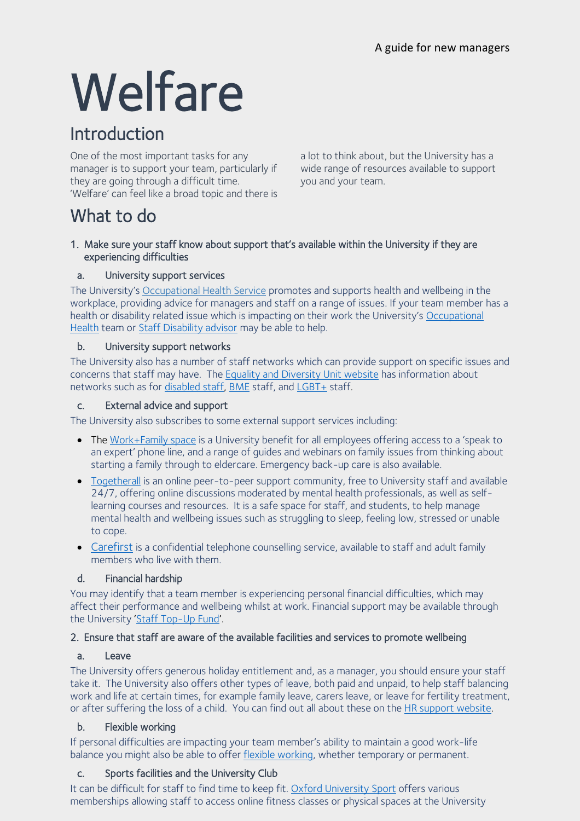# **Welfare**

## Introduction

One of the most important tasks for any manager is to support your team, particularly if they are going through a difficult time. 'Welfare' can feel like a broad topic and there is

a lot to think about, but the University has a wide range of resources available to support you and your team.

## What to do

#### 1. Make sure your staff know about support that's available within the University if they are experiencing difficulties

#### a. University support services

The University's [Occupational Health Service](https://occupationalhealth.admin.ox.ac.uk/#/) promotes and supports health and wellbeing in the workplace, providing advice for managers and staff on a range of issues. If your team member has a health or disability related issue which is impacting on their work the University's [Occupational](https://occupationalhealth.admin.ox.ac.uk/#/)  [Health](https://occupationalhealth.admin.ox.ac.uk/#/) team or [Staff Disability advisor](https://edu.admin.ox.ac.uk/disability-support#/) may be able to help.

#### b. University support networks

The University also has a number of staff networks which can provide support on specific issues and concerns that staff may have. The [Equality and Diversity Unit website](https://edu.admin.ox.ac.uk/networks#/) has information about networks such as for [disabled staff,](https://edu.admin.ox.ac.uk/disabled-staff-network) [BME](https://edu.admin.ox.ac.uk/bme-staff-network) staff, and [LGBT+](https://edu.admin.ox.ac.uk/lgbt-staff-network) staff.

#### c. External advice and support

The University also subscribes to some external support services including:

- The [Work+Family space](https://hr.admin.ox.ac.uk/my-family-care) is a University benefit for all employees offering access to a 'speak to an expert' phone line, and a range of guides and webinars on family issues from thinking about starting a family through to eldercare. Emergency back-up care is also available.
- [Togetherall](https://togetherall.com/en-gb/) is an online peer-to-peer support community, free to University staff and available 24/7, offering online discussions moderated by mental health professionals, as well as selflearning courses and resources. It is a safe space for staff, and students, to help manage mental health and wellbeing issues such as struggling to sleep, feeling low, stressed or unable to cope.
- [Carefirst](https://occupationalhealth.admin.ox.ac.uk/employee-counselling-service#/) is a confidential telephone counselling service, available to staff and adult family members who live with them.

#### d. Financial hardship

You may identify that a team member is experiencing personal financial difficulties, which may affect their performance and wellbeing whilst at work. Financial support may be available through the University '[Staff Top-Up Fund](https://hr.admin.ox.ac.uk/staff-top-up-fund)'.

#### 2. Ensure that staff are aware of the available facilities and services to promote wellbeing

#### a. Leave

The University offers generous holiday entitlement and, as a manager, you should ensure your staff take it. The University also offers other types of leave, both paid and unpaid, to help staff balancing work and life at certain times, for example family leave, carers leave, or leave for fertility treatment, or after suffering the loss of a child. You can find out all about these on the HR support [website.](https://hr.admin.ox.ac.uk/leave#/)

#### b. Flexible working

If personal difficulties are impacting your team member's ability to maintain a good work-life balance you might also be able to offer flexible [working,](https://hr.admin.ox.ac.uk/flexible-working) whether temporary or permanent.

#### c. Sports facilities and the University Club

It can be difficult for staff to find time to keep fit. Oxford [University](https://www.sport.ox.ac.uk/memberships) Sport offers various memberships allowing staff to access online fitness classes or physical spaces at the University